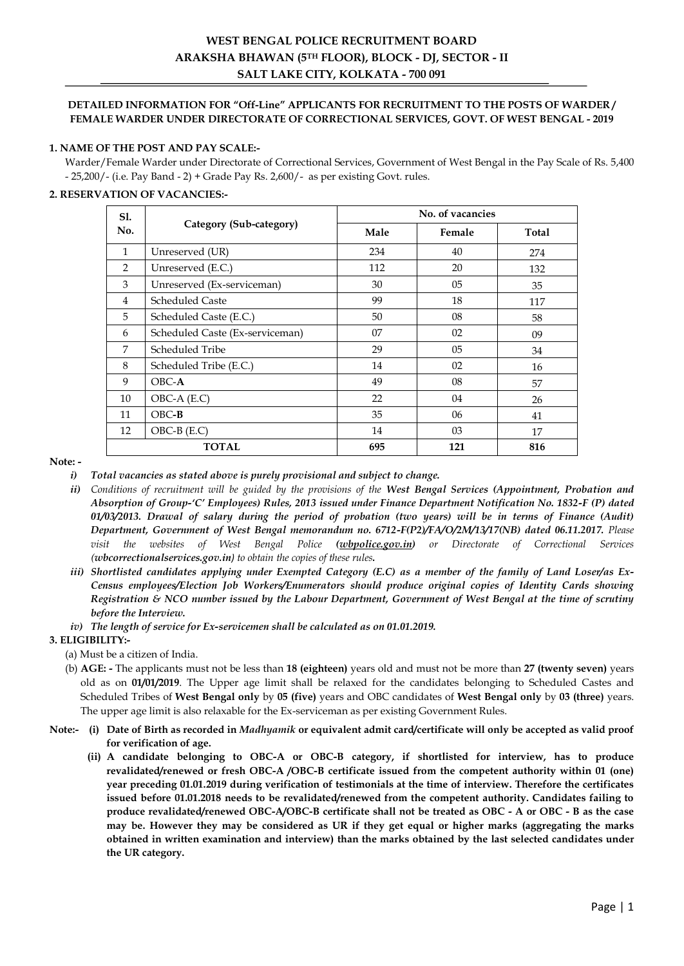# **WEST BENGAL POLICE RECRUITMENT BOARD ARAKSHA BHAWAN (5TH FLOOR), BLOCK - DJ, SECTOR - II SALT LAKE CITY, KOLKATA - 700 091**

### **DETAILED INFORMATION FOR "Off-Line" APPLICANTS FOR RECRUITMENT TO THE POSTS OF WARDER / FEMALE WARDER UNDER DIRECTORATE OF CORRECTIONAL SERVICES, GOVT. OF WEST BENGAL - 2019**

### **1. NAME OF THE POST AND PAY SCALE:-**

Warder/Female Warder under Directorate of Correctional Services, Government of West Bengal in the Pay Scale of Rs. 5,400 - 25,200/- (i.e. Pay Band - 2) + Grade Pay Rs. 2,600/- as per existing Govt. rules.

### **2. RESERVATION OF VACANCIES:-**

| <b>S1.</b>   |                                 | No. of vacancies |        |       |  |  |  |
|--------------|---------------------------------|------------------|--------|-------|--|--|--|
| No.          | Category (Sub-category)         | Male             | Female | Total |  |  |  |
| $\mathbf{1}$ | Unreserved (UR)                 | 234              | 40     | 274   |  |  |  |
| 2            | Unreserved (E.C.)               | 112              | 20     | 132   |  |  |  |
| 3            | Unreserved (Ex-serviceman)      | 30               | 05     | 35    |  |  |  |
| 4            | <b>Scheduled Caste</b>          | 99               | 18     | 117   |  |  |  |
| 5            | Scheduled Caste (E.C.)          | 50               | 08     | 58    |  |  |  |
| 6            | Scheduled Caste (Ex-serviceman) | 07               | 02     | 09    |  |  |  |
| 7            | Scheduled Tribe                 | 29               | 05     | 34    |  |  |  |
| 8            | Scheduled Tribe (E.C.)          | 14               | 02     | 16    |  |  |  |
| 9            | $OBC-A$                         | 49               | 08     | 57    |  |  |  |
| 10           | $OBC-A$ $(E.C)$                 | 22               | 04     | 26    |  |  |  |
| 11           | $OBC-B$                         | 35               | 06     | 41    |  |  |  |
| 12           | $OBC-B$ $(E.C)$                 | 14               | 03     | 17    |  |  |  |
|              | <b>TOTAL</b>                    | 695              | 121    | 816   |  |  |  |

**Note: -**

*i) Total vacancies as stated above is purely provisional and subject to change.* 

- *ii) Conditions of recruitment will be guided by the provisions of the West Bengal Services (Appointment, Probation and Absorption of Group-'C' Employees) Rules, 2013 issued under Finance Department Notification No. 1832-F (P) dated 01/03/2013. Drawal of salary during the period of probation (two years) will be in terms of Finance (Audit) Department, Government of West Bengal memorandum no. 6712-F(P2)/FA/O/2M/13/17(NB) dated 06.11.2017. Please visit the websites of West Bengal Police (wbpolice.gov.in) or Directorate of Correctional Services ([wbcorrectionalservices.gov.in](http://www.excise.wb.gov.in/)) to obtain the copies of these rules.*
- *iii) Shortlisted candidates applying under Exempted Category (E.C) as a member of the family of Land Loser/as Ex-Census employees/Election Job Workers/Enumerators should produce original copies of Identity Cards showing Registration & NCO number issued by the Labour Department, Government of West Bengal at the time of scrutiny before the Interview.*
- *iv) The length of service for Ex-servicemen shall be calculated as on 01.01.2019.*

# **3. ELIGIBILITY:-**

(a) Must be a citizen of India.

- (b) **AGE: -** The applicants must not be less than **18 (eighteen)** years old and must not be more than **27 (twenty seven)** years old as on **01/01/2019**. The Upper age limit shall be relaxed for the candidates belonging to Scheduled Castes and Scheduled Tribes of **West Bengal only** by **05 (five)** years and OBC candidates of **West Bengal only** by **03 (three)** years. The upper age limit is also relaxable for the Ex-serviceman as per existing Government Rules.
- **Note:- (i) Date of Birth as recorded in** *Madhyamik* **or equivalent admit card/certificate will only be accepted as valid proof for verification of age.**
	- **(ii) A candidate belonging to OBC-A or OBC-B category, if shortlisted for interview, has to produce revalidated/renewed or fresh OBC-A /OBC-B certificate issued from the competent authority within 01 (one) year preceding 01.01.2019 during verification of testimonials at the time of interview. Therefore the certificates issued before 01.01.2018 needs to be revalidated/renewed from the competent authority. Candidates failing to produce revalidated/renewed OBC-A/OBC-B certificate shall not be treated as OBC - A or OBC - B as the case may be. However they may be considered as UR if they get equal or higher marks (aggregating the marks obtained in written examination and interview) than the marks obtained by the last selected candidates under the UR category.**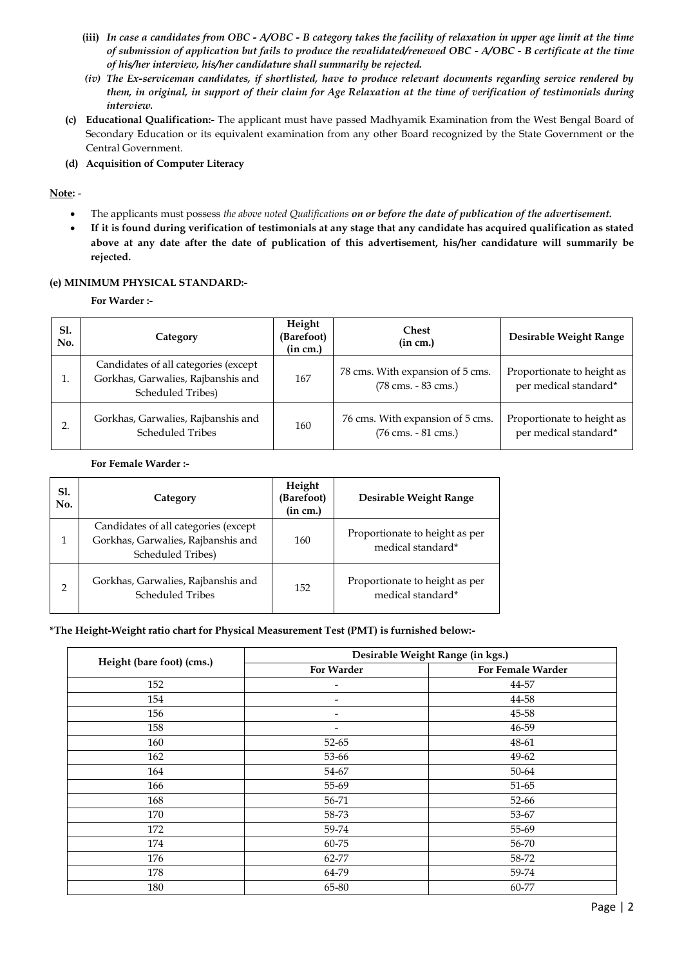- **(iii)** *In case a candidates from OBC - A/OBC - B category takes the facility of relaxation in upper age limit at the time of submission of application but fails to produce the revalidated/renewed OBC - A/OBC - B certificate at the time of his/her interview, his/her candidature shall summarily be rejected.*
- *(iv) The Ex-serviceman candidates, if shortlisted, have to produce relevant documents regarding service rendered by them, in original, in support of their claim for Age Relaxation at the time of verification of testimonials during interview.*
- **(c) Educational Qualification:-** The applicant must have passed Madhyamik Examination from the West Bengal Board of Secondary Education or its equivalent examination from any other Board recognized by the State Government or the Central Government.
- **(d) Acquisition of Computer Literacy**

# **Note:** -

- The applicants must possess *the above noted Qualifications on or before the date of publication of the advertisement.*
- **If it is found during verification of testimonials at any stage that any candidate has acquired qualification as stated above at any date after the date of publication of this advertisement, his/her candidature will summarily be rejected.**

### **(e) MINIMUM PHYSICAL STANDARD:-**

**For Warder :-**

| <b>S1.</b><br>No. | Category                                                                                        | Height<br>(Barefoot)<br>(in cm.) | <b>Chest</b><br>(in cm.)                                                  | Desirable Weight Range                              |
|-------------------|-------------------------------------------------------------------------------------------------|----------------------------------|---------------------------------------------------------------------------|-----------------------------------------------------|
|                   | Candidates of all categories (except<br>Gorkhas, Garwalies, Rajbanshis and<br>Scheduled Tribes) | 167                              | 78 cms. With expansion of 5 cms.<br>(78 cms. - 83 cms.)                   | Proportionate to height as<br>per medical standard* |
| ∍                 | Gorkhas, Garwalies, Rajbanshis and<br><b>Scheduled Tribes</b>                                   | 160                              | 76 cms. With expansion of 5 cms.<br>$(76 \text{ cms.} - 81 \text{ cms.})$ | Proportionate to height as<br>per medical standard* |

#### **For Female Warder :-**

| <b>S1.</b><br>No. | Category                                                                                               | Height<br>(Barefoot)<br>(in cm.) | Desirable Weight Range                              |
|-------------------|--------------------------------------------------------------------------------------------------------|----------------------------------|-----------------------------------------------------|
| 1                 | Candidates of all categories (except<br>Gorkhas, Garwalies, Rajbanshis and<br><b>Scheduled Tribes)</b> | 160                              | Proportionate to height as per<br>medical standard* |
| $\overline{2}$    | Gorkhas, Garwalies, Rajbanshis and<br><b>Scheduled Tribes</b>                                          | 152                              | Proportionate to height as per<br>medical standard* |

#### **\*The Height-Weight ratio chart for Physical Measurement Test (PMT) is furnished below:-**

|                           | Desirable Weight Range (in kgs.) |                   |  |  |
|---------------------------|----------------------------------|-------------------|--|--|
| Height (bare foot) (cms.) | For Warder                       | For Female Warder |  |  |
| 152                       | $\overline{\phantom{a}}$         | 44-57             |  |  |
| 154                       | $\overline{\phantom{a}}$         | 44-58             |  |  |
| 156                       | $\overline{\phantom{a}}$         | 45-58             |  |  |
| 158                       | $\overline{\phantom{a}}$         | 46-59             |  |  |
| 160                       | 52-65                            | 48-61             |  |  |
| 162                       | 53-66                            | 49-62             |  |  |
| 164                       | 54-67                            | 50-64             |  |  |
| 166                       | 55-69                            | 51-65             |  |  |
| 168                       | 56-71                            | 52-66             |  |  |
| 170                       | 58-73                            | 53-67             |  |  |
| 172                       | 59-74                            | 55-69             |  |  |
| 174                       | 60-75                            | 56-70             |  |  |
| 176                       | 62-77                            | 58-72             |  |  |
| 178                       | 64-79                            | 59-74             |  |  |
| 180                       | 65-80                            | 60-77             |  |  |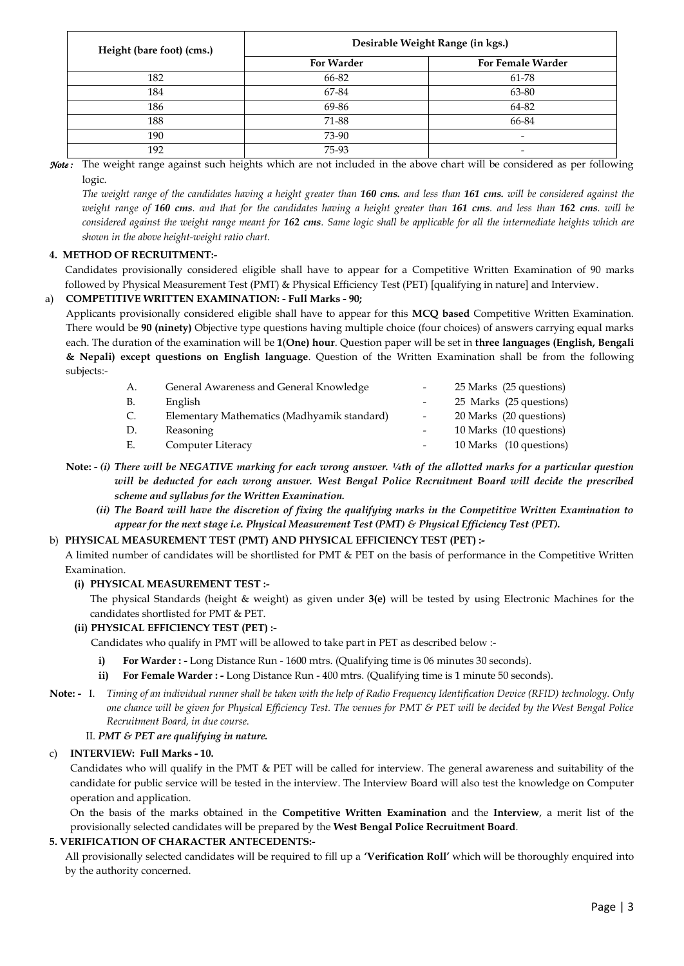| Height (bare foot) (cms.) | Desirable Weight Range (in kgs.) |                          |  |  |
|---------------------------|----------------------------------|--------------------------|--|--|
|                           | <b>For Warder</b>                | For Female Warder        |  |  |
| 182                       | 66-82                            | 61-78                    |  |  |
| 184                       | 67-84                            | 63-80                    |  |  |
| 186                       | 69-86                            | 64-82                    |  |  |
| 188                       | 71-88                            | 66-84                    |  |  |
| 190                       | 73-90                            | $\overline{\phantom{0}}$ |  |  |
| 192                       | 75-93                            | $\overline{\phantom{0}}$ |  |  |

*Note :* The weight range against such heights which are not included in the above chart will be considered as per following logic.

*The weight range of the candidates having a height greater than 160 cms. and less than 161 cms. will be considered against the weight range of 160 cms. and that for the candidates having a height greater than 161 cms. and less than 162 cms. will be considered against the weight range meant for 162 cms. Same logic shall be applicable for all the intermediate heights which are shown in the above height-weight ratio chart*.

# **4. METHOD OF RECRUITMENT:-**

Candidates provisionally considered eligible shall have to appear for a Competitive Written Examination of 90 marks followed by Physical Measurement Test (PMT) & Physical Efficiency Test (PET) [qualifying in nature] and Interview.

# a) **COMPETITIVE WRITTEN EXAMINATION: - Full Marks - 90;**

Applicants provisionally considered eligible shall have to appear for this **MCQ based** Competitive Written Examination. There would be **90 (ninety)** Objective type questions having multiple choice (four choices) of answers carrying equal marks each. The duration of the examination will be **1**(**One) hour**. Question paper will be set in **three languages (English, Bengali & Nepali) except questions on English language**. Question of the Written Examination shall be from the following subjects:-

| А.        | General Awareness and General Knowledge     |                          | 25 Marks (25 questions) |
|-----------|---------------------------------------------|--------------------------|-------------------------|
| <b>B.</b> | English                                     |                          | 25 Marks (25 questions) |
| C.        | Elementary Mathematics (Madhyamik standard) | $\overline{\phantom{a}}$ | 20 Marks (20 questions) |
| D.        | Reasoning                                   |                          | 10 Marks (10 questions) |
| Е.        | Computer Literacy                           |                          | 10 Marks (10 questions) |

- **Note: -** *(i) There will be NEGATIVE marking for each wrong answer. ¼th of the allotted marks for a particular question will be deducted for each wrong answer. West Bengal Police Recruitment Board will decide the prescribed scheme and syllabus for the Written Examination.*
	- *(ii) The Board will have the discretion of fixing the qualifying marks in the Competitive Written Examination to appear for the next stage i.e. Physical Measurement Test (PMT) & Physical Efficiency Test (PET).*

#### b) **PHYSICAL MEASUREMENT TEST (PMT) AND PHYSICAL EFFICIENCY TEST (PET) :-**

A limited number of candidates will be shortlisted for PMT & PET on the basis of performance in the Competitive Written Examination.

### **(i) PHYSICAL MEASUREMENT TEST :-**

The physical Standards (height & weight) as given under **3(e)** will be tested by using Electronic Machines for the candidates shortlisted for PMT & PET.

# **(ii) PHYSICAL EFFICIENCY TEST (PET) :-**

Candidates who qualify in PMT will be allowed to take part in PET as described below :-

- **i) For Warder : -** Long Distance Run 1600 mtrs. (Qualifying time is 06 minutes 30 seconds).
- **ii) For Female Warder : -** Long Distance Run 400 mtrs. (Qualifying time is 1 minute 50 seconds).

**Note: -** I. *Timing of an individual runner shall be taken with the help of Radio Frequency Identification Device (RFID) technology. Only one chance will be given for Physical Efficiency Test. The venues for PMT & PET will be decided by the West Bengal Police Recruitment Board, in due course.*

### II. *PMT & PET are qualifying in nature.*

# c) **INTERVIEW: Full Marks - 10.**

Candidates who will qualify in the PMT & PET will be called for interview. The general awareness and suitability of the candidate for public service will be tested in the interview. The Interview Board will also test the knowledge on Computer operation and application.

On the basis of the marks obtained in the **Competitive Written Examination** and the **Interview**, a merit list of the provisionally selected candidates will be prepared by the **West Bengal Police Recruitment Board**.

# **5. VERIFICATION OF CHARACTER ANTECEDENTS:-**

All provisionally selected candidates will be required to fill up a **"Verification Roll"** which will be thoroughly enquired into by the authority concerned.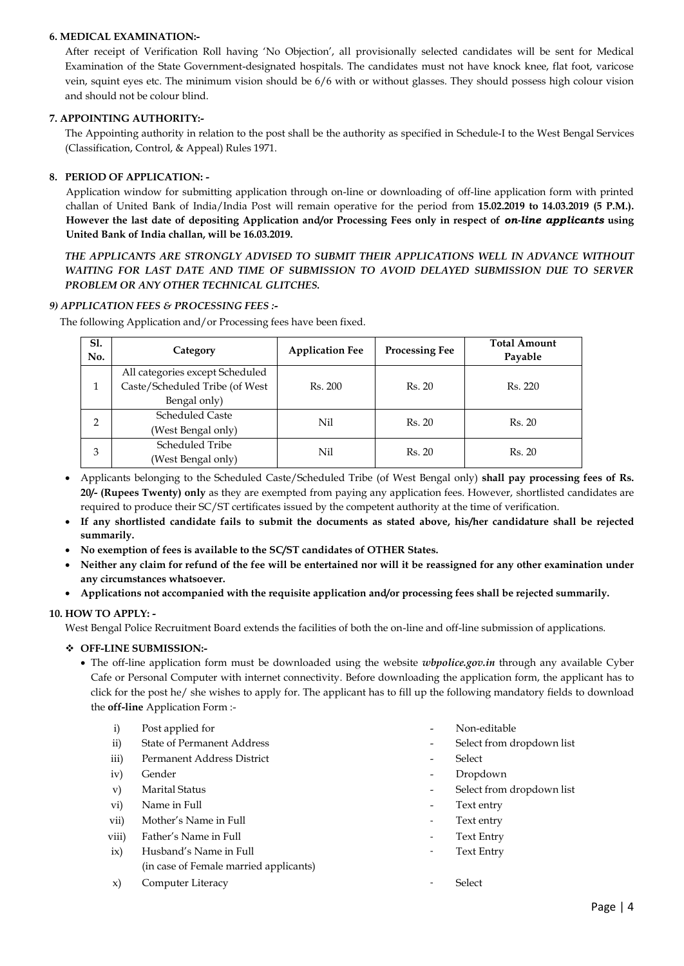### **6. MEDICAL EXAMINATION:-**

After receipt of Verification Roll having "No Objection", all provisionally selected candidates will be sent for Medical Examination of the State Government-designated hospitals. The candidates must not have knock knee, flat foot, varicose vein, squint eyes etc. The minimum vision should be 6/6 with or without glasses. They should possess high colour vision and should not be colour blind.

### **7. APPOINTING AUTHORITY:-**

The Appointing authority in relation to the post shall be the authority as specified in Schedule-I to the West Bengal Services (Classification, Control, & Appeal) Rules 1971.

### **8. PERIOD OF APPLICATION: -**

Application window for submitting application through on-line or downloading of off-line application form with printed challan of United Bank of India/India Post will remain operative for the period from **15.02.2019 to 14.03.2019 (5 P.M.). However the last date of depositing Application and/or Processing Fees only in respect of** *on-line applicants* **using United Bank of India challan, will be 16.03.2019.**

*THE APPLICANTS ARE STRONGLY ADVISED TO SUBMIT THEIR APPLICATIONS WELL IN ADVANCE WITHOUT WAITING FOR LAST DATE AND TIME OF SUBMISSION TO AVOID DELAYED SUBMISSION DUE TO SERVER PROBLEM OR ANY OTHER TECHNICAL GLITCHES.*

#### *9) APPLICATION FEES & PROCESSING FEES :-*

The following Application and/or Processing fees have been fixed.

| <b>S1.</b><br>No. | Category                        | <b>Application Fee</b> | <b>Processing Fee</b> | <b>Total Amount</b><br>Payable |
|-------------------|---------------------------------|------------------------|-----------------------|--------------------------------|
|                   | All categories except Scheduled |                        |                       |                                |
|                   | Caste/Scheduled Tribe (of West  | Rs. 200                | Rs. 20                | Rs. 220                        |
|                   | Bengal only)                    |                        |                       |                                |
| $\mathcal{P}$     | <b>Scheduled Caste</b>          | Nil                    | Rs. 20                | Rs. 20                         |
|                   | (West Bengal only)              |                        |                       |                                |
| 3                 | Scheduled Tribe                 | Nil                    | Rs. 20                | Rs. 20                         |
|                   | (West Bengal only)              |                        |                       |                                |

- Applicants belonging to the Scheduled Caste/Scheduled Tribe (of West Bengal only) **shall pay processing fees of Rs. 20/- (Rupees Twenty) only** as they are exempted from paying any application fees. However, shortlisted candidates are required to produce their SC/ST certificates issued by the competent authority at the time of verification.
- **If any shortlisted candidate fails to submit the documents as stated above, his/her candidature shall be rejected summarily.**
- **No exemption of fees is available to the SC/ST candidates of OTHER States.**
- **Neither any claim for refund of the fee will be entertained nor will it be reassigned for any other examination under any circumstances whatsoever.**
- **Applications not accompanied with the requisite application and/or processing fees shall be rejected summarily.**

#### **10. HOW TO APPLY: -**

West Bengal Police Recruitment Board extends the facilities of both the on-line and off-line submission of applications.

#### **OFF-LINE SUBMISSION:-**

 The off-line application form must be downloaded using the website *wbpolice.gov.in* through any available Cyber Cafe or Personal Computer with internet connectivity. Before downloading the application form, the applicant has to click for the post he/ she wishes to apply for. The applicant has to fill up the following mandatory fields to download the **off-line** Application Form :-

| $\mathbf{i}$  | Post applied for                       | ٠                            | Non-editable              |
|---------------|----------------------------------------|------------------------------|---------------------------|
| $\mathbf{ii}$ | <b>State of Permanent Address</b>      | $\overline{\phantom{a}}$     | Select from dropdown list |
| iii)          | Permanent Address District             | $\overline{\phantom{a}}$     | Select                    |
| iv)           | Gender                                 | $\overline{\phantom{a}}$     | Dropdown                  |
| V)            | <b>Marital Status</b>                  | -                            | Select from dropdown list |
| $\rm{vi})$    | Name in Full                           | $\qquad \qquad \blacksquare$ | Text entry                |
| vii)          | Mother's Name in Full                  | ٠                            | Text entry                |
| viii)         | Father's Name in Full                  | ۰                            | Text Entry                |
| ix)           | Husband's Name in Full                 | ۰                            | <b>Text Entry</b>         |
|               | (in case of Female married applicants) |                              |                           |
| $\mathbf{x}$  | Computer Literacy                      | ٠                            | Select                    |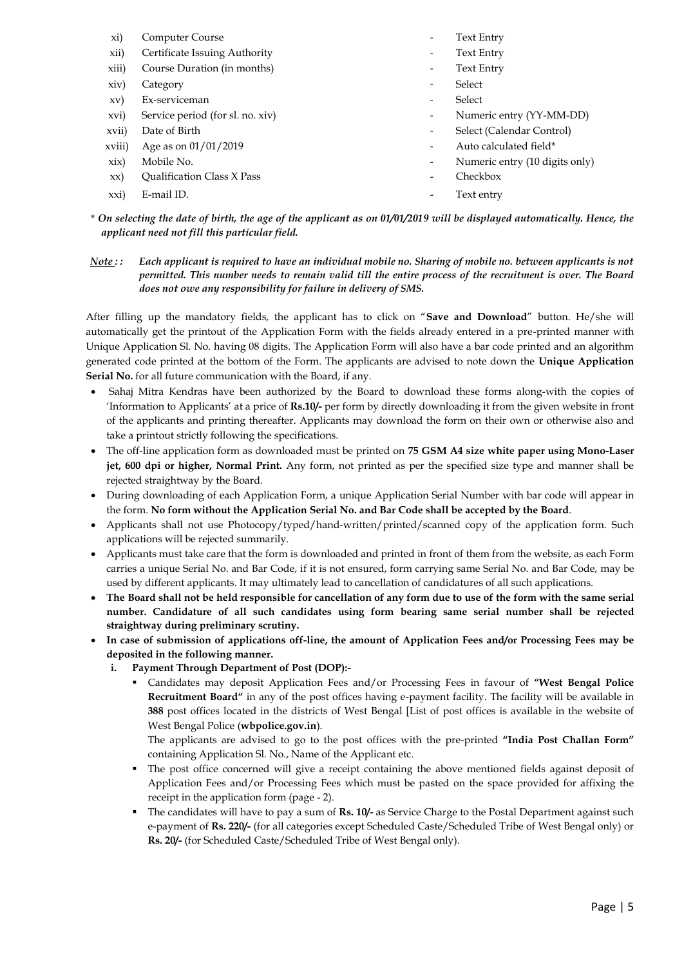| xi)           | Computer Course                   |                          | <b>Text Entry</b>              |
|---------------|-----------------------------------|--------------------------|--------------------------------|
| xii)          | Certificate Issuing Authority     | ۰                        | Text Entry                     |
| xiii)         | Course Duration (in months)       | ٠                        | <b>Text Entry</b>              |
| $\dot{x}$ iv) | Category                          | ۰                        | Select                         |
| xy)           | Ex-serviceman                     |                          | Select                         |
| xvi)          | Service period (for sl. no. xiv)  | ۰.                       | Numeric entry (YY-MM-DD)       |
| xvii)         | Date of Birth                     | ۰.                       | Select (Calendar Control)      |
| xviii)        | Age as on $01/01/2019$            |                          | Auto calculated field*         |
| xix)          | Mobile No.                        | $\overline{\phantom{0}}$ | Numeric entry (10 digits only) |
| $\mathbf{X}$  | <b>Oualification Class X Pass</b> |                          | Checkbox                       |
| xxi)          | E-mail ID.                        |                          | Text entry                     |

\* *On selecting the date of birth, the age of the applicant as on 01/01/2019 will be displayed automatically. Hence, the applicant need not fill this particular field.*

*Note : : Each applicant is required to have an individual mobile no. Sharing of mobile no. between applicants is not permitted. This number needs to remain valid till the entire process of the recruitment is over. The Board does not owe any responsibility for failure in delivery of SMS.*

After filling up the mandatory fields, the applicant has to click on "**Save and Download**" button. He/she will automatically get the printout of the Application Form with the fields already entered in a pre-printed manner with Unique Application Sl. No. having 08 digits. The Application Form will also have a bar code printed and an algorithm generated code printed at the bottom of the Form. The applicants are advised to note down the **Unique Application**  Serial No. for all future communication with the Board, if any.

- Sahaj Mitra Kendras have been authorized by the Board to download these forms along-with the copies of "Information to Applicants" at a price of **Rs.10/-** per form by directly downloading it from the given website in front of the applicants and printing thereafter. Applicants may download the form on their own or otherwise also and take a printout strictly following the specifications.
- The off-line application form as downloaded must be printed on **75 GSM A4 size white paper using Mono-Laser jet, 600 dpi or higher, Normal Print.** Any form, not printed as per the specified size type and manner shall be rejected straightway by the Board.
- During downloading of each Application Form, a unique Application Serial Number with bar code will appear in the form. **No form without the Application Serial No. and Bar Code shall be accepted by the Board**.
- Applicants shall not use Photocopy/typed/hand-written/printed/scanned copy of the application form. Such applications will be rejected summarily.
- Applicants must take care that the form is downloaded and printed in front of them from the website, as each Form carries a unique Serial No. and Bar Code, if it is not ensured, form carrying same Serial No. and Bar Code, may be used by different applicants. It may ultimately lead to cancellation of candidatures of all such applications.
- **The Board shall not be held responsible for cancellation of any form due to use of the form with the same serial number. Candidature of all such candidates using form bearing same serial number shall be rejected straightway during preliminary scrutiny.**
- **In case of submission of applications off-line, the amount of Application Fees and/or Processing Fees may be deposited in the following manner.**
	- **i. Payment Through Department of Post (DOP):-**
		- Candidates may deposit Application Fees and/or Processing Fees in favour of **"West Bengal Police Recruitment Board"** in any of the post offices having e-payment facility. The facility will be available in **388** post offices located in the districts of West Bengal [List of post offices is available in the website of West Bengal Police (**wbpolice.gov.in**).

The applicants are advised to go to the post offices with the pre-printed **"India Post Challan Form"** containing Application Sl. No., Name of the Applicant etc.

- The post office concerned will give a receipt containing the above mentioned fields against deposit of Application Fees and/or Processing Fees which must be pasted on the space provided for affixing the receipt in the application form (page - 2).
- The candidates will have to pay a sum of **Rs. 10/-** as Service Charge to the Postal Department against such e-payment of **Rs. 220/-** (for all categories except Scheduled Caste/Scheduled Tribe of West Bengal only) or **Rs. 20/-** (for Scheduled Caste/Scheduled Tribe of West Bengal only).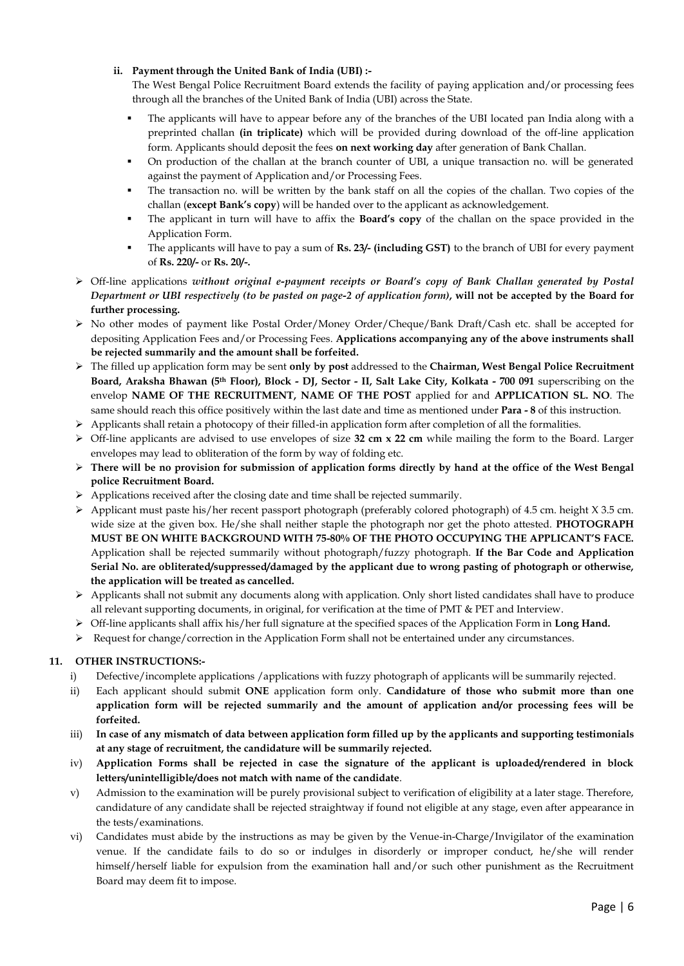### **ii. Payment through the United Bank of India (UBI) :-**

The West Bengal Police Recruitment Board extends the facility of paying application and/or processing fees through all the branches of the United Bank of India (UBI) across the State.

- The applicants will have to appear before any of the branches of the UBI located pan India along with a preprinted challan **(in triplicate)** which will be provided during download of the off-line application form. Applicants should deposit the fees **on next working day** after generation of Bank Challan.
- On production of the challan at the branch counter of UBI, a unique transaction no. will be generated against the payment of Application and/or Processing Fees.
- The transaction no. will be written by the bank staff on all the copies of the challan. Two copies of the challan (**except Bank"s copy**) will be handed over to the applicant as acknowledgement.
- The applicant in turn will have to affix the **Board"s copy** of the challan on the space provided in the Application Form.
- The applicants will have to pay a sum of **Rs. 23/- (including GST)** to the branch of UBI for every payment of **Rs. 220/-** or **Rs. 20/-.**
- Off-line applications *without original e-payment receipts or Board's copy of Bank Challan generated by Postal Department or UBI respectively (to be pasted on page-2 of application form)***, will not be accepted by the Board for further processing.**
- No other modes of payment like Postal Order/Money Order/Cheque/Bank Draft/Cash etc. shall be accepted for depositing Application Fees and/or Processing Fees. **Applications accompanying any of the above instruments shall be rejected summarily and the amount shall be forfeited.**
- The filled up application form may be sent **only by post** addressed to the **Chairman, West Bengal Police Recruitment Board, Araksha Bhawan (5th Floor), Block - DJ, Sector - II, Salt Lake City, Kolkata - 700 091** superscribing on the envelop **NAME OF THE RECRUITMENT, NAME OF THE POST** applied for and **APPLICATION SL. NO**. The same should reach this office positively within the last date and time as mentioned under **Para - 8** of this instruction.
- $\triangleright$  Applicants shall retain a photocopy of their filled-in application form after completion of all the formalities.
- Off-line applicants are advised to use envelopes of size **32 cm x 22 cm** while mailing the form to the Board. Larger envelopes may lead to obliteration of the form by way of folding etc.
- **There will be no provision for submission of application forms directly by hand at the office of the West Bengal police Recruitment Board.**
- $\triangleright$  Applications received after the closing date and time shall be rejected summarily.
- $\triangleright$  Applicant must paste his/her recent passport photograph (preferably colored photograph) of 4.5 cm. height X 3.5 cm. wide size at the given box. He/she shall neither staple the photograph nor get the photo attested. **PHOTOGRAPH MUST BE ON WHITE BACKGROUND WITH 75-80% OF THE PHOTO OCCUPYING THE APPLICANT"S FACE.** Application shall be rejected summarily without photograph/fuzzy photograph. **If the Bar Code and Application Serial No. are obliterated/suppressed/damaged by the applicant due to wrong pasting of photograph or otherwise, the application will be treated as cancelled.**
- $\triangleright$  Applicants shall not submit any documents along with application. Only short listed candidates shall have to produce all relevant supporting documents, in original, for verification at the time of PMT & PET and Interview.
- Off-line applicants shall affix his/her full signature at the specified spaces of the Application Form in **Long Hand.**
- $\triangleright$  Request for change/correction in the Application Form shall not be entertained under any circumstances.

# **11. OTHER INSTRUCTIONS:-**

- i) Defective/incomplete applications / applications with fuzzy photograph of applicants will be summarily rejected.
- ii) Each applicant should submit **ONE** application form only. **Candidature of those who submit more than one application form will be rejected summarily and the amount of application and/or processing fees will be forfeited.**
- iii) **In case of any mismatch of data between application form filled up by the applicants and supporting testimonials at any stage of recruitment, the candidature will be summarily rejected.**
- iv) **Application Forms shall be rejected in case the signature of the applicant is uploaded/rendered in block letters/unintelligible/does not match with name of the candidate**.
- v) Admission to the examination will be purely provisional subject to verification of eligibility at a later stage. Therefore, candidature of any candidate shall be rejected straightway if found not eligible at any stage, even after appearance in the tests/examinations.
- vi) Candidates must abide by the instructions as may be given by the Venue-in-Charge/Invigilator of the examination venue. If the candidate fails to do so or indulges in disorderly or improper conduct, he/she will render himself/herself liable for expulsion from the examination hall and/or such other punishment as the Recruitment Board may deem fit to impose.